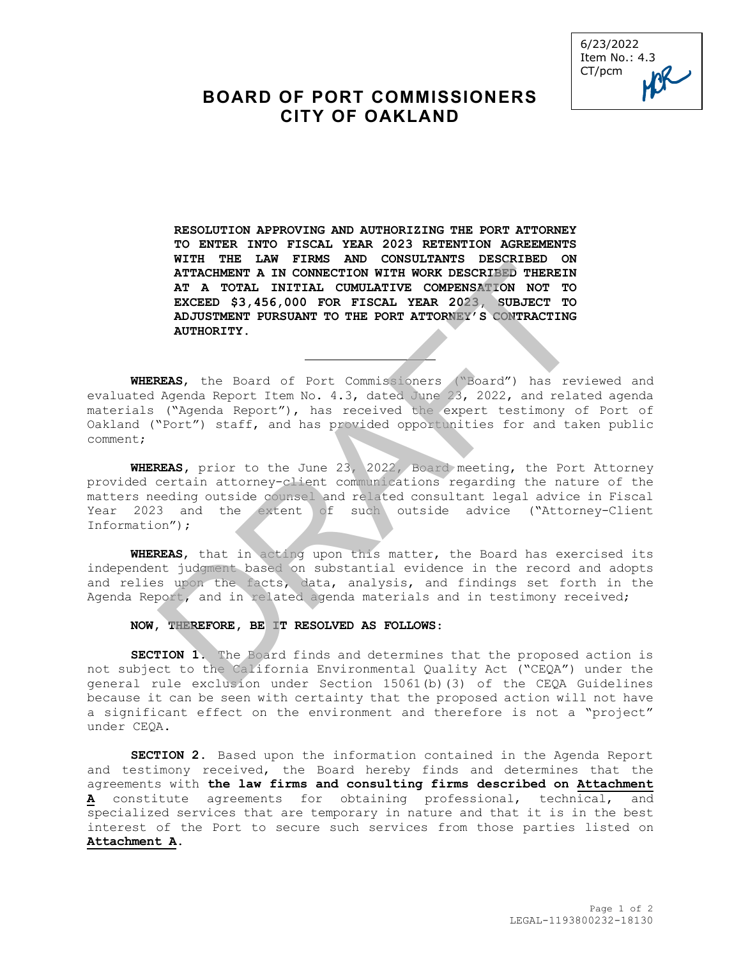

# **BOARD OF PORT COMMISSIONERS CITY OF OAKLAND**

**RESOLUTION APPROVING AND AUTHORIZING THE PORT ATTORNEY TO ENTER INTO FISCAL YEAR 2023 RETENTION AGREEMENTS WITH THE LAW FIRMS AND CONSULTANTS DESCRIBED ON ATTACHMENT A IN CONNECTION WITH WORK DESCRIBED THEREIN AT A TOTAL INITIAL CUMULATIVE COMPENSATION NOT TO EXCEED \$3,456,000 FOR FISCAL YEAR 2023, SUBJECT TO ADJUSTMENT PURSUANT TO THE PORT ATTORNEY'S CONTRACTING AUTHORITY.** WIRE THAT IN CONNECTION WITH WORK DESCRIBED THEREIN<br>ATTACHMENT A IN CONNECTION WITH WORK DESCRIBED THEREIN<br>AT A TOTAL INITIAL CUMULATIVE COMPENSATION WITH TOWN EXCREME SAMPLE THE<br>EXCEPD \$3,456,000 FOR FISCAL YEAR 2023, SUB

**WHEREAS**, the Board of Port Commissioners ("Board") has reviewed and evaluated Agenda Report Item No. 4.3, dated June 23, 2022, and related agenda materials ("Agenda Report"), has received the expert testimony of Port of Oakland ("Port") staff, and has provided opportunities for and taken public comment;

**WHEREAS,** prior to the June 23, 2022, Board meeting, the Port Attorney provided certain attorney-client communications regarding the nature of the matters needing outside counsel and related consultant legal advice in Fiscal Year 2023 and the extent of such outside advice ("Attorney-Client Information");

**WHEREAS**, that in acting upon this matter, the Board has exercised its independent judgment based on substantial evidence in the record and adopts and relies upon the facts, data, analysis, and findings set forth in the Agenda Report, and in related agenda materials and in testimony received;

#### **NOW, THEREFORE, BE IT RESOLVED AS FOLLOWS**:

**SECTION 1.** The Board finds and determines that the proposed action is not subject to the California Environmental Quality Act ("CEQA") under the general rule exclusion under Section 15061(b)(3) of the CEQA Guidelines because it can be seen with certainty that the proposed action will not have a significant effect on the environment and therefore is not a "project" under CEQA.

**SECTION 2.** Based upon the information contained in the Agenda Report and testimony received, the Board hereby finds and determines that the agreements with **the law firms and consulting firms described on Attachment A** constitute agreements for obtaining professional, technical, and specialized services that are temporary in nature and that it is in the best interest of the Port to secure such services from those parties listed on **Attachment A.**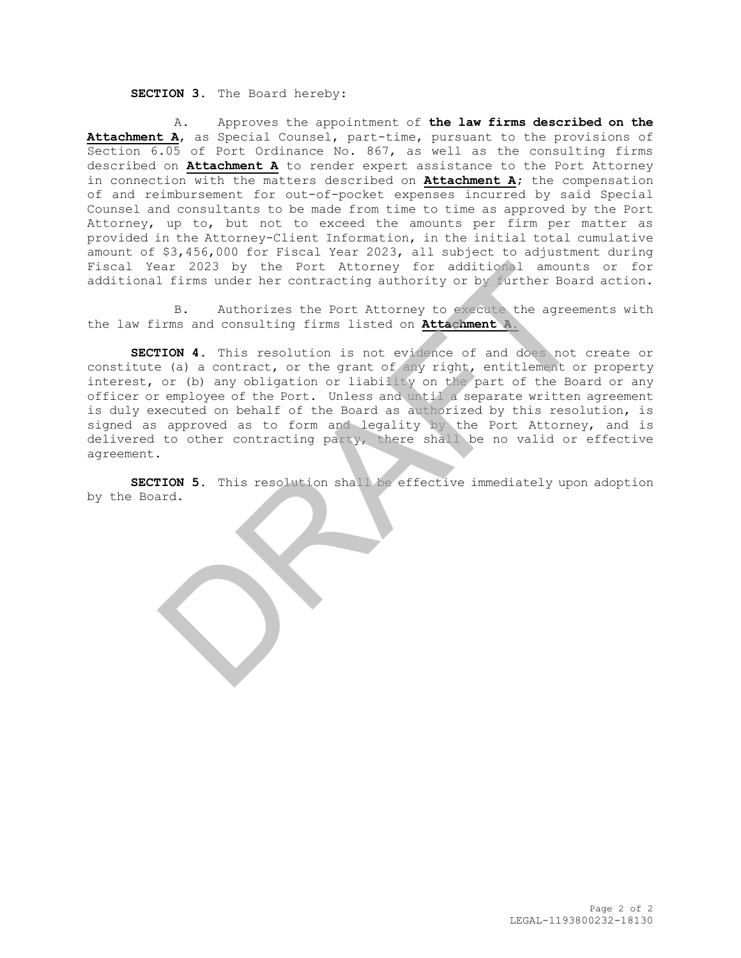### **SECTION 3.** The Board hereby:

A. Approves the appointment of **the law firms described on the Attachment A**, as Special Counsel, part-time, pursuant to the provisions of Section 6.05 of Port Ordinance No. 867, as well as the consulting firms described on **Attachment A** to render expert assistance to the Port Attorney in connection with the matters described on **Attachment A;** the compensation of and reimbursement for out-of-pocket expenses incurred by said Special Counsel and consultants to be made from time to time as approved by the Port Attorney, up to, but not to exceed the amounts per firm per matter as provided in the Attorney-Client Information, in the initial total cumulative amount of \$3,456,000 for Fiscal Year 2023, all subject to adjustment during Fiscal Year 2023 by the Port Attorney for additional amounts or for additional firms under her contracting authority or by further Board action.

B. Authorizes the Port Attorney to execute the agreements with the law firms and consulting firms listed on **Attachment A.**

**SECTION 4.** This resolution is not evidence of and does not create or constitute (a) a contract, or the grant of any right, entitlement or property interest, or (b) any obligation or liability on the part of the Board or any officer or employee of the Port. Unless and until a separate written agreement is duly executed on behalf of the Board as authorized by this resolution, is signed as approved as to form and legality by the Port Attorney, and is delivered to other contracting party, there shall be no valid or effective agreement. ear 2023 by the Port Attorney for additional amounts<br>1 firms under her contracting authority or by further Boar<br>B. Authorizes the Port Attorney to execute the agreem<br>100 A. This resolution is not widen on **Attachment A.**<br>1

**SECTION 5.** This resolution shall be effective immediately upon adoption by the Board.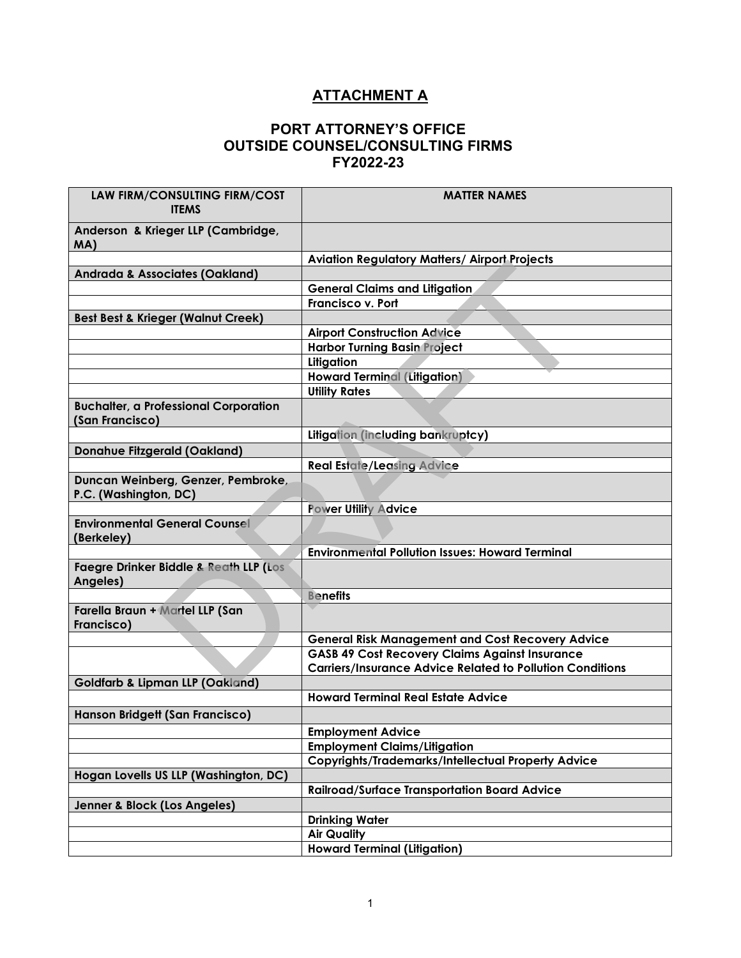# **ATTACHMENT A**

### **PORT ATTORNEY'S OFFICE OUTSIDE COUNSEL/CONSULTING FIRMS FY2022-23**

| LAW FIRM/CONSULTING FIRM/COST<br><b>ITEMS</b>                   | <b>MATTER NAMES</b>                                              |
|-----------------------------------------------------------------|------------------------------------------------------------------|
| Anderson & Krieger LLP (Cambridge,<br>MA)                       |                                                                  |
|                                                                 | <b>Aviation Regulatory Matters/ Airport Projects</b>             |
| <b>Andrada &amp; Associates (Oakland)</b>                       |                                                                  |
|                                                                 | <b>General Claims and Litigation</b>                             |
|                                                                 | <b>Francisco v. Port</b>                                         |
| <b>Best Best &amp; Krieger (Walnut Creek)</b>                   |                                                                  |
|                                                                 | <b>Airport Construction Advice</b>                               |
|                                                                 | <b>Harbor Turning Basin Project</b>                              |
|                                                                 | Litigation                                                       |
|                                                                 | <b>Howard Terminal (Litigation)</b>                              |
|                                                                 | <b>Utility Rates</b>                                             |
| <b>Buchalter, a Professional Corporation</b><br>(San Francisco) |                                                                  |
|                                                                 | Litigation (including bankruptcy)                                |
| <b>Donahue Fitzgerald (Oakland)</b>                             |                                                                  |
|                                                                 | <b>Real Estate/Leasing Advice</b>                                |
| Duncan Weinberg, Genzer, Pembroke,<br>P.C. (Washington, DC)     |                                                                  |
|                                                                 | <b>Power Utility Advice</b>                                      |
| <b>Environmental General Counsel</b><br>(Berkeley)              |                                                                  |
|                                                                 | <b>Environmental Pollution Issues: Howard Terminal</b>           |
| <b>Faegre Drinker Biddle &amp; Reath LLP (Los</b><br>Angeles)   |                                                                  |
|                                                                 | <b>Benefits</b>                                                  |
| Farella Braun + Martel LLP (San<br>Francisco)                   |                                                                  |
|                                                                 | <b>General Risk Management and Cost Recovery Advice</b>          |
|                                                                 | <b>GASB 49 Cost Recovery Claims Against Insurance</b>            |
|                                                                 | <b>Carriers/Insurance Advice Related to Pollution Conditions</b> |
| <b>Goldfarb &amp; Lipman LLP (Oakland)</b>                      |                                                                  |
|                                                                 | <b>Howard Terminal Real Estate Advice</b>                        |
| Hanson Bridgett (San Francisco)                                 |                                                                  |
|                                                                 | <b>Employment Advice</b>                                         |
|                                                                 | <b>Employment Claims/Litigation</b>                              |
|                                                                 | <b>Copyrights/Trademarks/Intellectual Property Advice</b>        |
| Hogan Lovells US LLP (Washington, DC)                           |                                                                  |
|                                                                 | <b>Railroad/Surface Transportation Board Advice</b>              |
| Jenner & Block (Los Angeles)                                    |                                                                  |
|                                                                 | <b>Drinking Water</b>                                            |
|                                                                 | <b>Air Quality</b>                                               |
|                                                                 | <b>Howard Terminal (Litigation)</b>                              |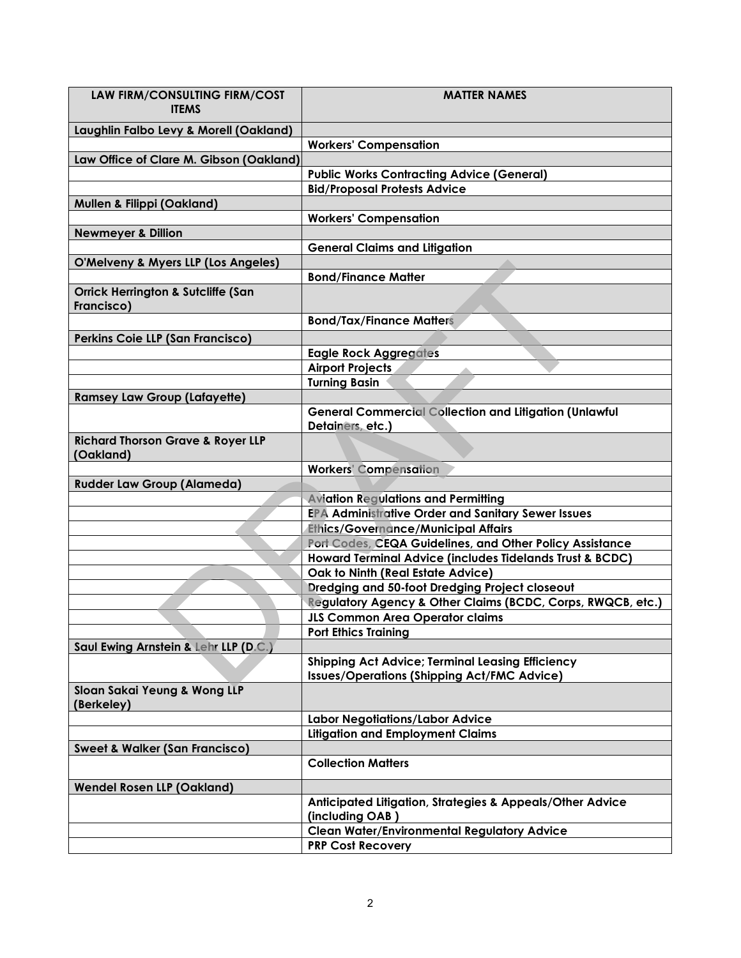| LAW FIRM/CONSULTING FIRM/COST<br><b>ITEMS</b>               | <b>MATTER NAMES</b>                                                                                           |
|-------------------------------------------------------------|---------------------------------------------------------------------------------------------------------------|
| Laughlin Falbo Levy & Morell (Oakland)                      |                                                                                                               |
|                                                             | <b>Workers' Compensation</b>                                                                                  |
| Law Office of Clare M. Gibson (Oakland)                     |                                                                                                               |
|                                                             | <b>Public Works Contracting Advice (General)</b>                                                              |
|                                                             | <b>Bid/Proposal Protests Advice</b>                                                                           |
| <b>Mullen &amp; Filippi (Oakland)</b>                       |                                                                                                               |
|                                                             | <b>Workers' Compensation</b>                                                                                  |
| <b>Newmeyer &amp; Dillion</b>                               |                                                                                                               |
|                                                             | <b>General Claims and Litigation</b>                                                                          |
| O'Melveny & Myers LLP (Los Angeles)                         |                                                                                                               |
|                                                             | <b>Bond/Finance Matter</b>                                                                                    |
| <b>Orrick Herrington &amp; Sutcliffe (San</b><br>Francisco) |                                                                                                               |
|                                                             | <b>Bond/Tax/Finance Matters</b>                                                                               |
| Perkins Coie LLP (San Francisco)                            |                                                                                                               |
|                                                             | <b>Eagle Rock Aggregates</b>                                                                                  |
|                                                             | <b>Airport Projects</b>                                                                                       |
|                                                             | <b>Turning Basin</b>                                                                                          |
| <b>Ramsey Law Group (Lafayette)</b>                         |                                                                                                               |
|                                                             | <b>General Commercial Collection and Litigation (Unlawful</b><br>Detainers, etc.)                             |
| <b>Richard Thorson Grave &amp; Royer LLP</b><br>(Oakland)   |                                                                                                               |
|                                                             | <b>Workers' Compensation</b>                                                                                  |
| <b>Rudder Law Group (Alameda)</b>                           |                                                                                                               |
|                                                             | <b>Aviation Regulations and Permitting</b>                                                                    |
|                                                             | <b>EPA Administrative Order and Sanitary Sewer Issues</b>                                                     |
|                                                             | <b>Ethics/Governance/Municipal Affairs</b>                                                                    |
|                                                             | Port Codes, CEQA Guidelines, and Other Policy Assistance                                                      |
|                                                             | Howard Terminal Advice (includes Tidelands Trust & BCDC)                                                      |
|                                                             | Oak to Ninth (Real Estate Advice)                                                                             |
|                                                             | Dredging and 50-foot Dredging Project closeout                                                                |
|                                                             | Regulatory Agency & Other Claims (BCDC, Corps, RWQCB, etc.)                                                   |
|                                                             | <b>JLS Common Area Operator claims</b>                                                                        |
|                                                             | <b>Port Ethics Training</b>                                                                                   |
| Saul Ewing Arnstein & Lehr LLP (D.C.)                       |                                                                                                               |
|                                                             | <b>Shipping Act Advice; Terminal Leasing Efficiency</b><br><b>Issues/Operations (Shipping Act/FMC Advice)</b> |
| Sloan Sakai Yeung & Wong LLP<br>(Berkeley)                  |                                                                                                               |
|                                                             | Labor Negotiations/Labor Advice                                                                               |
|                                                             | <b>Litigation and Employment Claims</b>                                                                       |
| <b>Sweet &amp; Walker (San Francisco)</b>                   |                                                                                                               |
|                                                             | <b>Collection Matters</b>                                                                                     |
| <b>Wendel Rosen LLP (Oakland)</b>                           |                                                                                                               |
|                                                             | Anticipated Litigation, Strategies & Appeals/Other Advice<br>(including OAB)                                  |
|                                                             | <b>Clean Water/Environmental Regulatory Advice</b>                                                            |
|                                                             | <b>PRP Cost Recovery</b>                                                                                      |